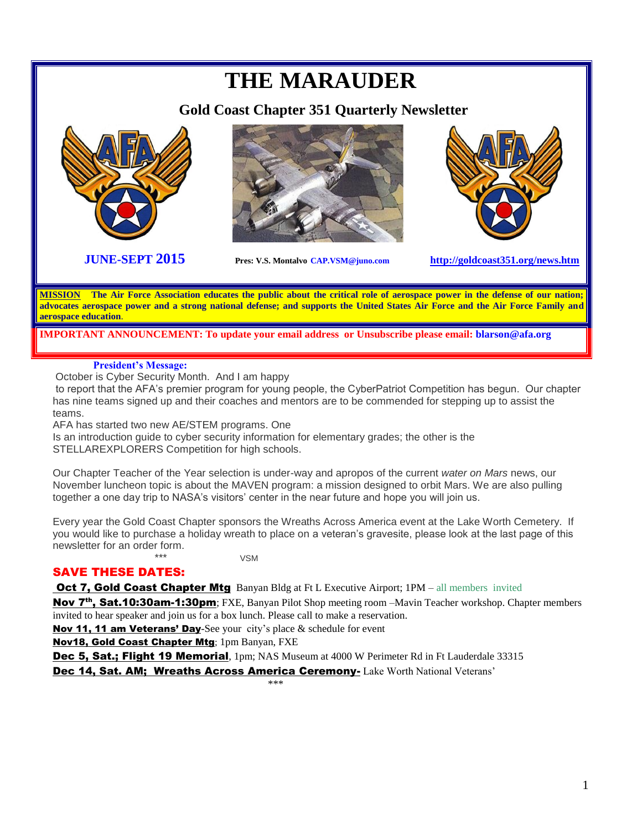# **THE MARAUDER Gold Coast Chapter 351 Quarterly Newsletter JUNE-SEPT 2015 Pres: V.S. Montalvo CAP.VSM@juno.com <http://goldcoast351.org/news.htm> MISSION The Air Force Association educates the public about the critical role of aerospace power in the defense of our nation; advocates aerospace power and a strong national defense; and supports the United States Air Force and the Air Force Family and**

**IMPORTANT ANNOUNCEMENT: To update your email address or Unsubscribe please email: blarson@afa.org**

### **President's Message:**

**aerospace education**.

October is Cyber Security Month. And I am happy

to report that the AFA's premier program for young people, the CyberPatriot Competition has begun. Our chapter has nine teams signed up and their coaches and mentors are to be commended for stepping up to assist the teams.

AFA has started two new AE/STEM programs. One

Is an introduction guide to cyber security information for elementary grades; the other is the STELLAREXPLORERS Competition for high schools.

Our Chapter Teacher of the Year selection is under-way and apropos of the current *water on Mars* news, our November luncheon topic is about the MAVEN program: a mission designed to orbit Mars. We are also pulling together a one day trip to NASA's visitors' center in the near future and hope you will join us.

Every year the Gold Coast Chapter sponsors the Wreaths Across America event at the Lake Worth Cemetery. If you would like to purchase a holiday wreath to place on a veteran's gravesite, please look at the last page of this newsletter for an order form.

\*\*\* VSM

## SAVE THESE DATES:

**Oct 7, Gold Coast Chapter Mtg** Banyan Bldg at Ft L Executive Airport; 1PM – all members invited

Nov 7<sup>th</sup>, Sat.10:30am-1:30pm; FXE, Banyan Pilot Shop meeting room –Mavin Teacher workshop. Chapter members invited to hear speaker and join us for a box lunch. Please call to make a reservation.

Nov 11, 11 am Veterans' Day-See your city's place & schedule for event

Nov18, Gold Coast Chapter Mtg; 1pm Banyan, FXE

Dec 5, Sat.; Flight 19 Memorial, 1pm; NAS Museum at 4000 W Perimeter Rd in Ft Lauderdale 33315

Dec 14, Sat. AM; Wreaths Across America Ceremony- Lake Worth National Veterans'

 $***$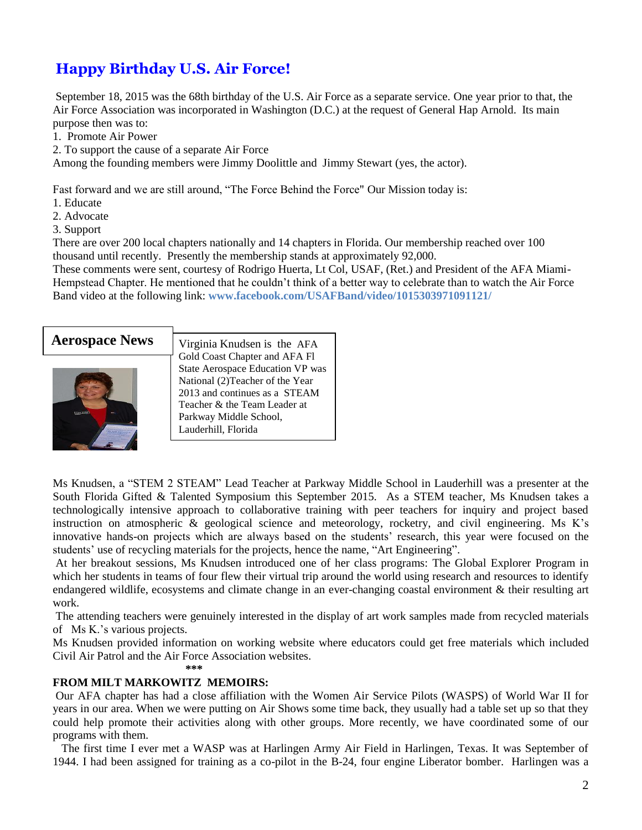## **Happy Birthday U.S. Air Force!**

September 18, 2015 was the 68th birthday of the U.S. Air Force as a separate service. One year prior to that, the Air Force Association was incorporated in Washington (D.C.) at the request of General Hap Arnold. Its main purpose then was to:

1. Promote Air Power

2. To support the cause of a separate Air Force

Among the founding members were Jimmy Doolittle and Jimmy Stewart (yes, the actor).

Fast forward and we are still around, "The Force Behind the Force" Our Mission today is:

- 1. Educate
- 2. Advocate
- 3. Support

There are over 200 local chapters nationally and 14 chapters in Florida. Our membership reached over 100 thousand until recently. Presently the membership stands at approximately 92,000.

These comments were sent, courtesy of Rodrigo Huerta, Lt Col, USAF, (Ret.) and President of the AFA Miami-Hempstead Chapter. He mentioned that he couldn't think of a better way to celebrate than to watch the Air Force Band video at the following link: **www.facebook.com/USAFBand/video/1015303971091121/**



Ms Knudsen, a "STEM 2 STEAM" Lead Teacher at Parkway Middle School in Lauderhill was a presenter at the South Florida Gifted & Talented Symposium this September 2015. As a STEM teacher, Ms Knudsen takes a technologically intensive approach to collaborative training with peer teachers for inquiry and project based instruction on atmospheric & geological science and meteorology, rocketry, and civil engineering. Ms K's innovative hands-on projects which are always based on the students' research, this year were focused on the students' use of recycling materials for the projects, hence the name, "Art Engineering".

At her breakout sessions, Ms Knudsen introduced one of her class programs: The Global Explorer Program in which her students in teams of four flew their virtual trip around the world using research and resources to identify endangered wildlife, ecosystems and climate change in an ever-changing coastal environment & their resulting art work.

The attending teachers were genuinely interested in the display of art work samples made from recycled materials of Ms K.'s various projects.

Ms Knudsen provided information on working website where educators could get free materials which included Civil Air Patrol and the Air Force Association websites.

 $***$ 

### **FROM MILT MARKOWITZ MEMOIRS:**

Our AFA chapter has had a close affiliation with the Women Air Service Pilots (WASPS) of World War II for years in our area. When we were putting on Air Shows some time back, they usually had a table set up so that they could help promote their activities along with other groups. More recently, we have coordinated some of our programs with them.

 The first time I ever met a WASP was at Harlingen Army Air Field in Harlingen, Texas. It was September of 1944. I had been assigned for training as a co-pilot in the B-24, four engine Liberator bomber. Harlingen was a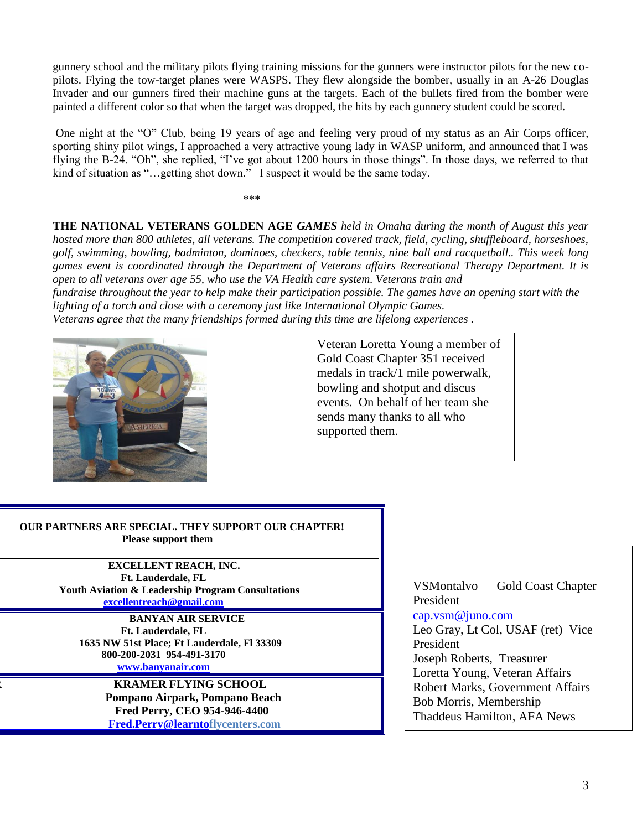gunnery school and the military pilots flying training missions for the gunners were instructor pilots for the new copilots. Flying the tow-target planes were WASPS. They flew alongside the bomber, usually in an A-26 Douglas Invader and our gunners fired their machine guns at the targets. Each of the bullets fired from the bomber were painted a different color so that when the target was dropped, the hits by each gunnery student could be scored.

One night at the "O" Club, being 19 years of age and feeling very proud of my status as an Air Corps officer, sporting shiny pilot wings, I approached a very attractive young lady in WASP uniform, and announced that I was flying the B-24. "Oh", she replied, "I've got about 1200 hours in those things". In those days, we referred to that kind of situation as "...getting shot down." I suspect it would be the same today.

\*\*\*\*

**THE NATIONAL VETERANS GOLDEN AGE** *GAMES held in Omaha during the month of August this year hosted more than 800 athletes, all veterans. The competition covered track, field, cycling, shuffleboard, horseshoes, golf, swimming, bowling, badminton, dominoes, checkers, table tennis, nine ball and racquetball.. This week long games event is coordinated through the Department of Veterans affairs Recreational Therapy Department. It is open to all veterans over age 55, who use the VA Health care system. Veterans train and* 

*fundraise throughout the year to help make their participation possible. The games have an opening start with the lighting of a torch and close with a ceremony just like International Olympic Games.*

*Veterans agree that the many friendships formed during this time are lifelong experiences .*



Veteran Loretta Young a member of Gold Coast Chapter 351 received medals in track/1 mile powerwalk, bowling and shotput and discus events. On behalf of her team she sends many thanks to all who supported them.

#### **OUR PARTNERS ARE SPECIAL. THEY SUPPORT OUR CHAPTER! Please support them**

 **EXCELLENT REACH, INC. Ft. Lauderdale, FL Youth Aviation & Leadership Program Consultations [excellentreach@gmail.com](mailto:excellentreach@gmail.com)**

 **BANYAN AIR SERVICE Ft. Lauderdale, FL 1635 NW 51st Place; Ft Lauderdale, Fl 33309 800-200-2031 954-491-3170 [www.banyanair.com](http://www.banyanair.com/)**

> **FRAMER FLYING SCHOOL Pompano Airpark, Pompano Beach Fred Perry, CEO 954-946-4400 [Fred.Perry@learntof](mailto:%20%20%20%20%20%20%20%20%20%20%20%20%20%20%20%20%20%20%20%20%20%20%20%20%20%20%20%20%20%20%20%20%20%20%20%20%20%20%20%20%20%20%20%20%20%20Fred.Perry@learnto)lycenters.com**

VSMontalvo Gold Coast Chapter President [cap.vsm@juno.com](mailto:cap.vsm@juno.com) Leo Gray, Lt Col, USAF (ret) Vice President Joseph Roberts, Treasurer Loretta Young, Veteran Affairs Robert Marks, Government Affairs Bob Morris, Membership Thaddeus Hamilton, AFA News